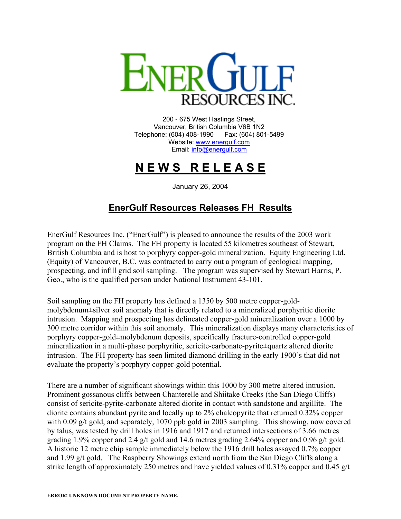

200 - 675 West Hastings Street, Vancouver, British Columbia V6B 1N2 Telephone: (604) 408-1990 Fax: (604) 801-5499 Website: [www.energulf.com](http://www.energulf.com/) Email: [info@energulf.com](mailto:info@energulf.com)

## **N E W S R E L E A S E**

January 26, 2004

## **EnerGulf Resources Releases FH Results**

EnerGulf Resources Inc. ("EnerGulf") is pleased to announce the results of the 2003 work program on the FH Claims. The FH property is located 55 kilometres southeast of Stewart, British Columbia and is host to porphyry copper-gold mineralization. Equity Engineering Ltd. (Equity) of Vancouver, B.C. was contracted to carry out a program of geological mapping, prospecting, and infill grid soil sampling. The program was supervised by Stewart Harris, P. Geo., who is the qualified person under National Instrument 43-101.

Soil sampling on the FH property has defined a 1350 by 500 metre copper-goldmolybdenum±silver soil anomaly that is directly related to a mineralized porphyritic diorite intrusion. Mapping and prospecting has delineated copper-gold mineralization over a 1000 by 300 metre corridor within this soil anomaly. This mineralization displays many characteristics of porphyry copper-gold±molybdenum deposits, specifically fracture-controlled copper-gold mineralization in a multi-phase porphyritic, sericite-carbonate-pyrite±quartz altered diorite intrusion. The FH property has seen limited diamond drilling in the early 1900's that did not evaluate the property's porphyry copper-gold potential.

There are a number of significant showings within this 1000 by 300 metre altered intrusion. Prominent gossanous cliffs between Chanterelle and Shiitake Creeks (the San Diego Cliffs) consist of sericite-pyrite-carbonate altered diorite in contact with sandstone and argillite. The diorite contains abundant pyrite and locally up to 2% chalcopyrite that returned 0.32% copper with 0.09 g/t gold, and separately, 1070 ppb gold in 2003 sampling. This showing, now covered by talus, was tested by drill holes in 1916 and 1917 and returned intersections of 3.66 metres grading 1.9% copper and 2.4 g/t gold and 14.6 metres grading 2.64% copper and 0.96 g/t gold. A historic 12 metre chip sample immediately below the 1916 drill holes assayed 0.7% copper and 1.99 g/t gold. The Raspberry Showings extend north from the San Diego Cliffs along a strike length of approximately 250 metres and have yielded values of 0.31% copper and 0.45 g/t